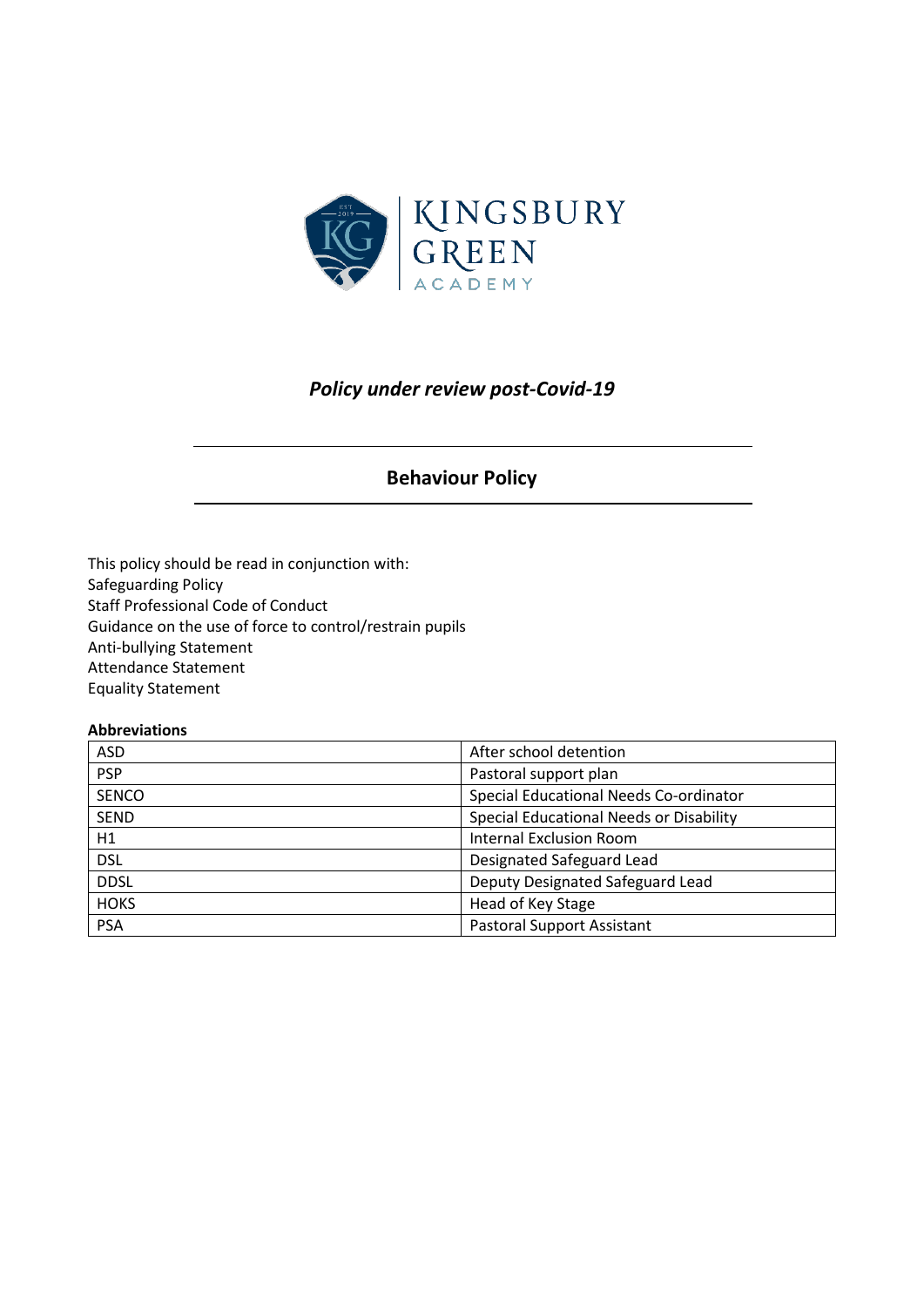

# *Policy under review post-Covid-19*

# **Behaviour Policy**

This policy should be read in conjunction with: Safeguarding Policy Staff Professional Code of Conduct Guidance on the use of force to control/restrain pupils Anti-bullying Statement Attendance Statement Equality Statement

#### **Abbreviations**

| <b>ASD</b>   | After school detention                  |
|--------------|-----------------------------------------|
| <b>PSP</b>   | Pastoral support plan                   |
| <b>SENCO</b> | Special Educational Needs Co-ordinator  |
| <b>SEND</b>  | Special Educational Needs or Disability |
| H1           | <b>Internal Exclusion Room</b>          |
| <b>DSL</b>   | Designated Safeguard Lead               |
| <b>DDSL</b>  | Deputy Designated Safeguard Lead        |
| <b>HOKS</b>  | Head of Key Stage                       |
| <b>PSA</b>   | <b>Pastoral Support Assistant</b>       |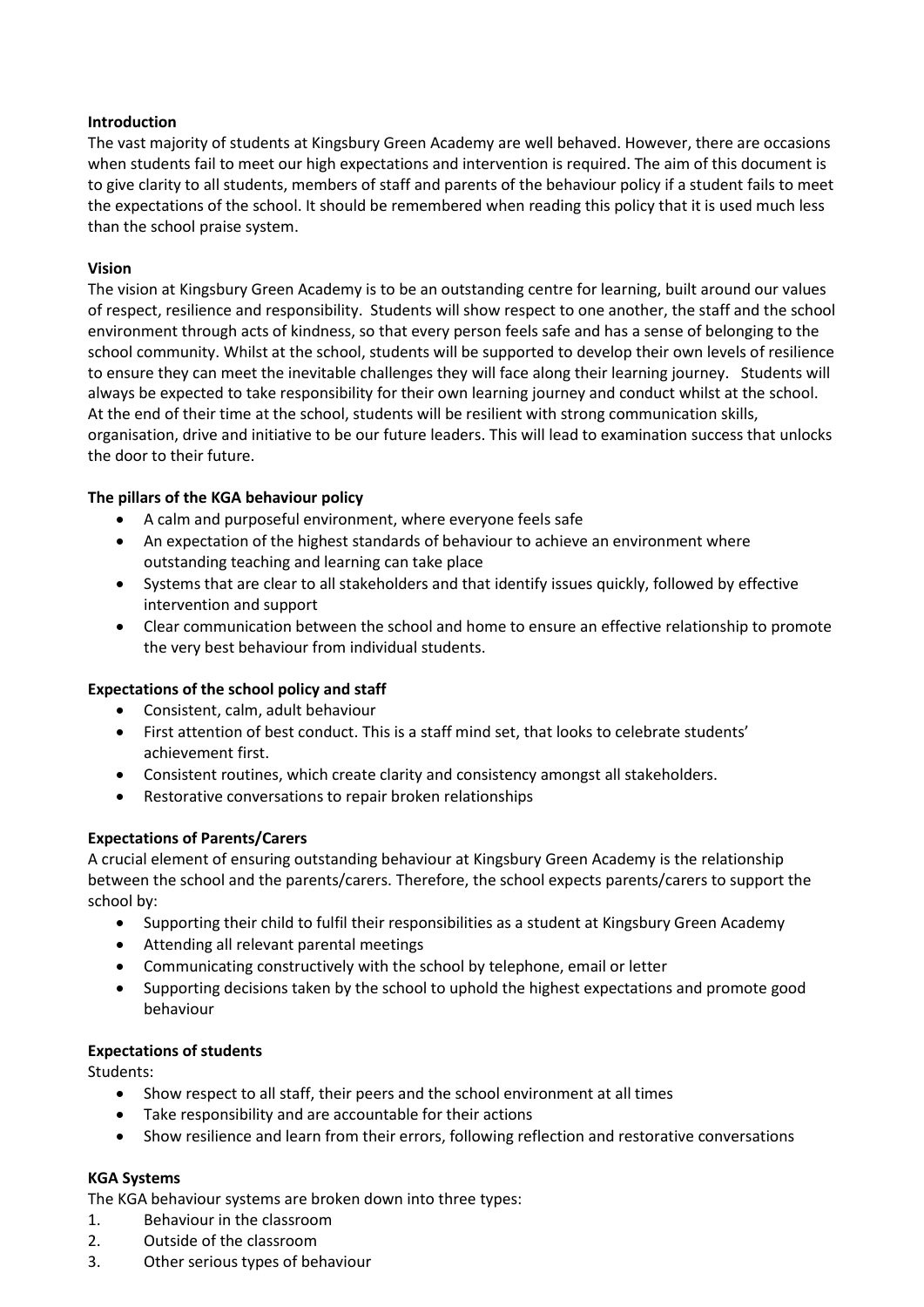# **Introduction**

The vast majority of students at Kingsbury Green Academy are well behaved. However, there are occasions when students fail to meet our high expectations and intervention is required. The aim of this document is to give clarity to all students, members of staff and parents of the behaviour policy if a student fails to meet the expectations of the school. It should be remembered when reading this policy that it is used much less than the school praise system.

# **Vision**

The vision at Kingsbury Green Academy is to be an outstanding centre for learning, built around our values of respect, resilience and responsibility. Students will show respect to one another, the staff and the school environment through acts of kindness, so that every person feels safe and has a sense of belonging to the school community. Whilst at the school, students will be supported to develop their own levels of resilience to ensure they can meet the inevitable challenges they will face along their learning journey. Students will always be expected to take responsibility for their own learning journey and conduct whilst at the school. At the end of their time at the school, students will be resilient with strong communication skills, organisation, drive and initiative to be our future leaders. This will lead to examination success that unlocks the door to their future.

# **The pillars of the KGA behaviour policy**

- A calm and purposeful environment, where everyone feels safe
- An expectation of the highest standards of behaviour to achieve an environment where outstanding teaching and learning can take place
- Systems that are clear to all stakeholders and that identify issues quickly, followed by effective intervention and support
- Clear communication between the school and home to ensure an effective relationship to promote the very best behaviour from individual students.

# **Expectations of the school policy and staff**

- Consistent, calm, adult behaviour
- First attention of best conduct. This is a staff mind set, that looks to celebrate students' achievement first.
- Consistent routines, which create clarity and consistency amongst all stakeholders.
- Restorative conversations to repair broken relationships

# **Expectations of Parents/Carers**

A crucial element of ensuring outstanding behaviour at Kingsbury Green Academy is the relationship between the school and the parents/carers. Therefore, the school expects parents/carers to support the school by:

- Supporting their child to fulfil their responsibilities as a student at Kingsbury Green Academy
- Attending all relevant parental meetings
- Communicating constructively with the school by telephone, email or letter
- Supporting decisions taken by the school to uphold the highest expectations and promote good behaviour

#### **Expectations of students**

Students:

- Show respect to all staff, their peers and the school environment at all times
- Take responsibility and are accountable for their actions
- Show resilience and learn from their errors, following reflection and restorative conversations

#### **KGA Systems**

The KGA behaviour systems are broken down into three types:

- 1. Behaviour in the classroom
- 2. Outside of the classroom
- 3. Other serious types of behaviour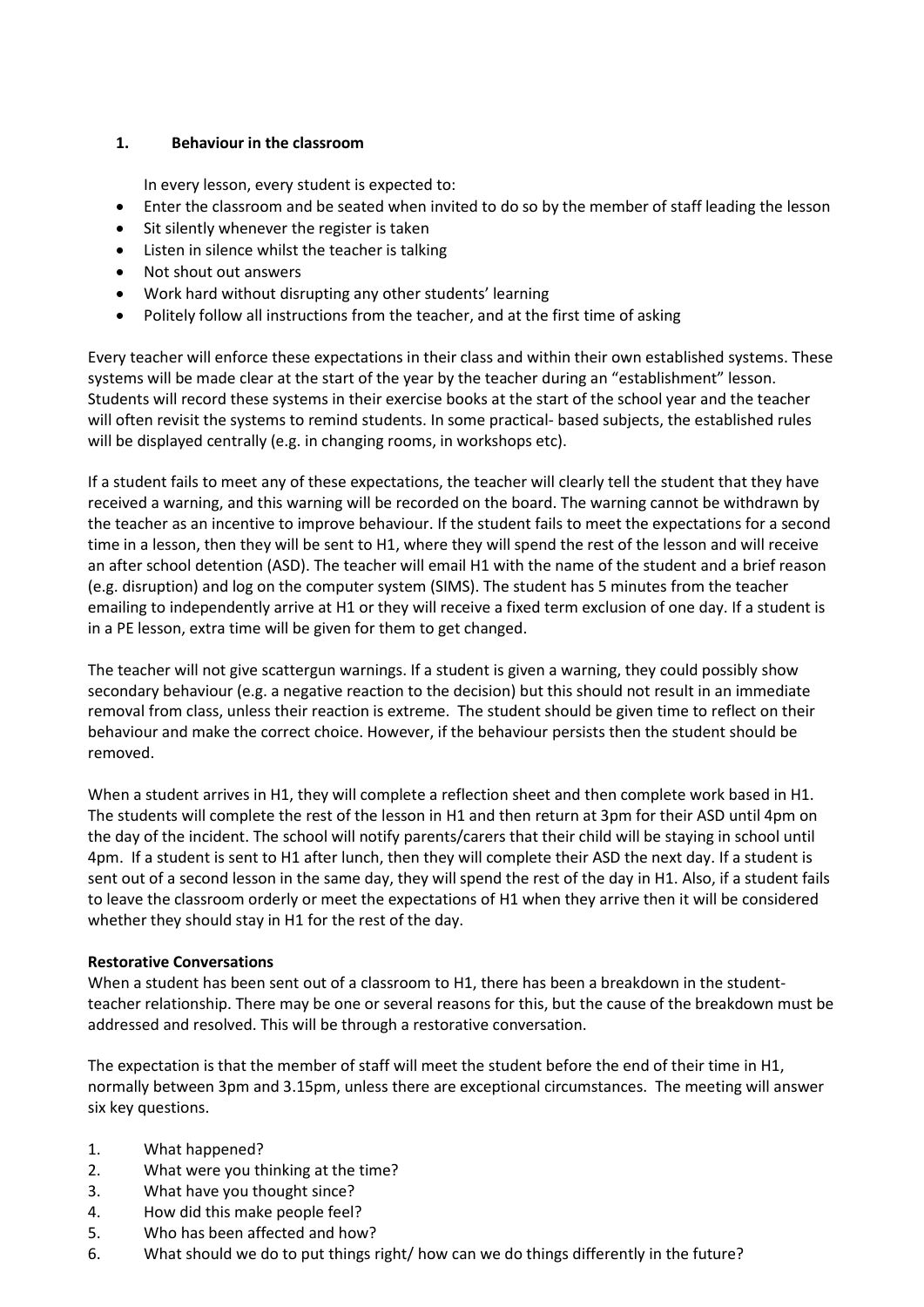# **1. Behaviour in the classroom**

In every lesson, every student is expected to:

- Enter the classroom and be seated when invited to do so by the member of staff leading the lesson
- Sit silently whenever the register is taken
- Listen in silence whilst the teacher is talking
- Not shout out answers
- Work hard without disrupting any other students' learning
- Politely follow all instructions from the teacher, and at the first time of asking

Every teacher will enforce these expectations in their class and within their own established systems. These systems will be made clear at the start of the year by the teacher during an "establishment" lesson. Students will record these systems in their exercise books at the start of the school year and the teacher will often revisit the systems to remind students. In some practical- based subjects, the established rules will be displayed centrally (e.g. in changing rooms, in workshops etc).

If a student fails to meet any of these expectations, the teacher will clearly tell the student that they have received a warning, and this warning will be recorded on the board. The warning cannot be withdrawn by the teacher as an incentive to improve behaviour. If the student fails to meet the expectations for a second time in a lesson, then they will be sent to H1, where they will spend the rest of the lesson and will receive an after school detention (ASD). The teacher will email H1 with the name of the student and a brief reason (e.g. disruption) and log on the computer system (SIMS). The student has 5 minutes from the teacher emailing to independently arrive at H1 or they will receive a fixed term exclusion of one day. If a student is in a PE lesson, extra time will be given for them to get changed.

The teacher will not give scattergun warnings. If a student is given a warning, they could possibly show secondary behaviour (e.g. a negative reaction to the decision) but this should not result in an immediate removal from class, unless their reaction is extreme. The student should be given time to reflect on their behaviour and make the correct choice. However, if the behaviour persists then the student should be removed.

When a student arrives in H1, they will complete a reflection sheet and then complete work based in H1. The students will complete the rest of the lesson in H1 and then return at 3pm for their ASD until 4pm on the day of the incident. The school will notify parents/carers that their child will be staying in school until 4pm. If a student is sent to H1 after lunch, then they will complete their ASD the next day. If a student is sent out of a second lesson in the same day, they will spend the rest of the day in H1. Also, if a student fails to leave the classroom orderly or meet the expectations of H1 when they arrive then it will be considered whether they should stay in H1 for the rest of the day.

#### **Restorative Conversations**

When a student has been sent out of a classroom to H1, there has been a breakdown in the studentteacher relationship. There may be one or several reasons for this, but the cause of the breakdown must be addressed and resolved. This will be through a restorative conversation.

The expectation is that the member of staff will meet the student before the end of their time in H1, normally between 3pm and 3.15pm, unless there are exceptional circumstances. The meeting will answer six key questions.

- 1. What happened?
- 2. What were you thinking at the time?
- 3. What have you thought since?
- 4. How did this make people feel?
- 5. Who has been affected and how?
- 6. What should we do to put things right/ how can we do things differently in the future?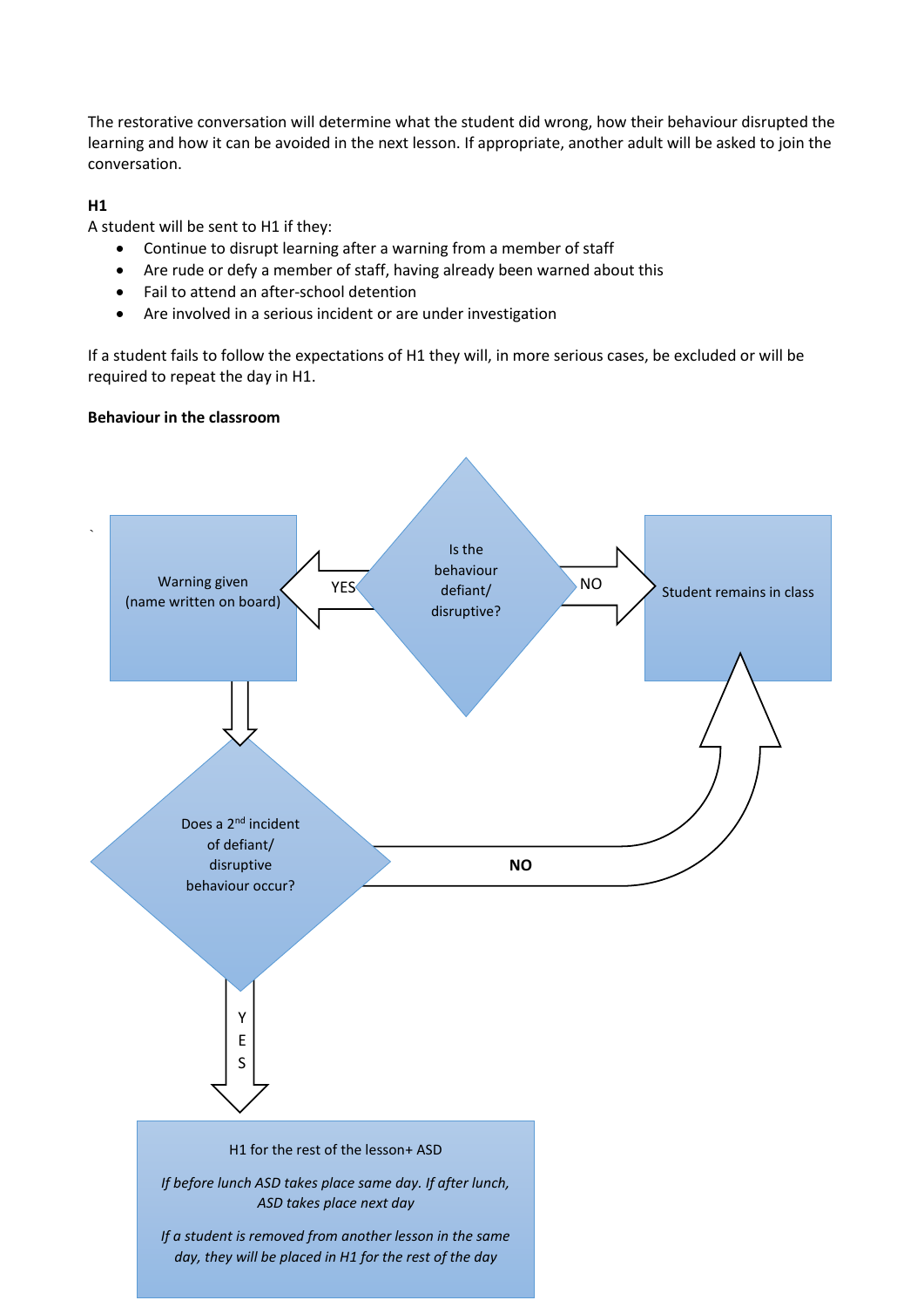The restorative conversation will determine what the student did wrong, how their behaviour disrupted the learning and how it can be avoided in the next lesson. If appropriate, another adult will be asked to join the conversation.

# **H1**

A student will be sent to H1 if they:

- Continue to disrupt learning after a warning from a member of staff
- Are rude or defy a member of staff, having already been warned about this
- Fail to attend an after-school detention
- Are involved in a serious incident or are under investigation

If a student fails to follow the expectations of H1 they will, in more serious cases, be excluded or will be required to repeat the day in H1.

#### **Behaviour in the classroom**

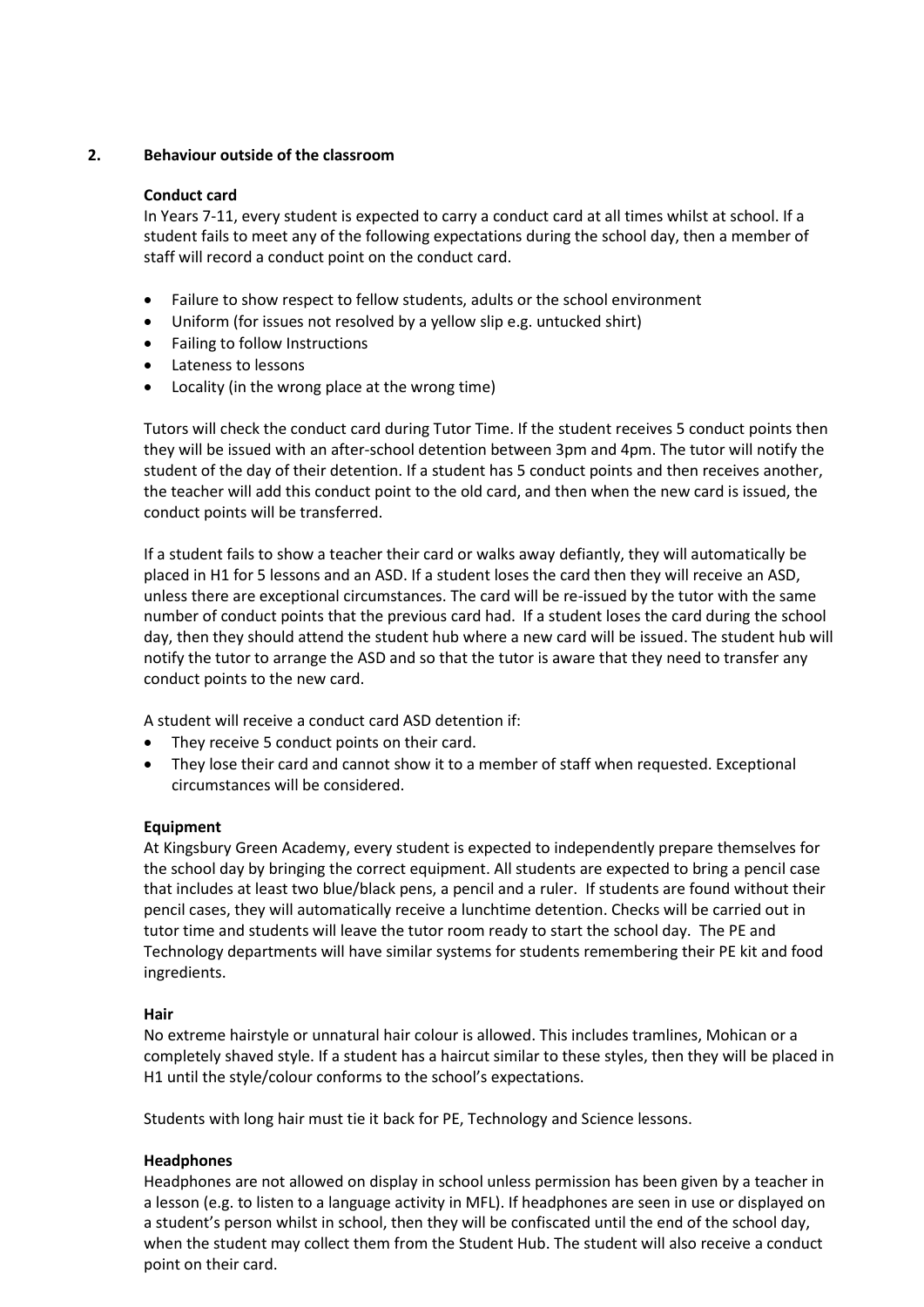# **2. Behaviour outside of the classroom**

#### **Conduct card**

 In Years 7-11, every student is expected to carry a conduct card at all times whilst at school. If a student fails to meet any of the following expectations during the school day, then a member of staff will record a conduct point on the conduct card.

- Failure to show respect to fellow students, adults or the school environment
- Uniform (for issues not resolved by a yellow slip e.g. untucked shirt)
- Failing to follow Instructions
- Lateness to lessons
- Locality (in the wrong place at the wrong time)

 Tutors will check the conduct card during Tutor Time. If the student receives 5 conduct points then they will be issued with an after-school detention between 3pm and 4pm. The tutor will notify the student of the day of their detention. If a student has 5 conduct points and then receives another, the teacher will add this conduct point to the old card, and then when the new card is issued, the conduct points will be transferred.

 If a student fails to show a teacher their card or walks away defiantly, they will automatically be placed in H1 for 5 lessons and an ASD. If a student loses the card then they will receive an ASD, unless there are exceptional circumstances. The card will be re-issued by the tutor with the same number of conduct points that the previous card had. If a student loses the card during the school day, then they should attend the student hub where a new card will be issued. The student hub will notify the tutor to arrange the ASD and so that the tutor is aware that they need to transfer any conduct points to the new card.

A student will receive a conduct card ASD detention if:

- They receive 5 conduct points on their card.
- They lose their card and cannot show it to a member of staff when requested. Exceptional circumstances will be considered.

#### **Equipment**

At Kingsbury Green Academy, every student is expected to independently prepare themselves for the school day by bringing the correct equipment. All students are expected to bring a pencil case that includes at least two blue/black pens, a pencil and a ruler. If students are found without their pencil cases, they will automatically receive a lunchtime detention. Checks will be carried out in tutor time and students will leave the tutor room ready to start the school day. The PE and Technology departments will have similar systems for students remembering their PE kit and food ingredients.

#### **Hair**

No extreme hairstyle or unnatural hair colour is allowed. This includes tramlines, Mohican or a completely shaved style. If a student has a haircut similar to these styles, then they will be placed in H1 until the style/colour conforms to the school's expectations.

Students with long hair must tie it back for PE, Technology and Science lessons.

#### **Headphones**

Headphones are not allowed on display in school unless permission has been given by a teacher in a lesson (e.g. to listen to a language activity in MFL). If headphones are seen in use or displayed on a student's person whilst in school, then they will be confiscated until the end of the school day, when the student may collect them from the Student Hub. The student will also receive a conduct point on their card.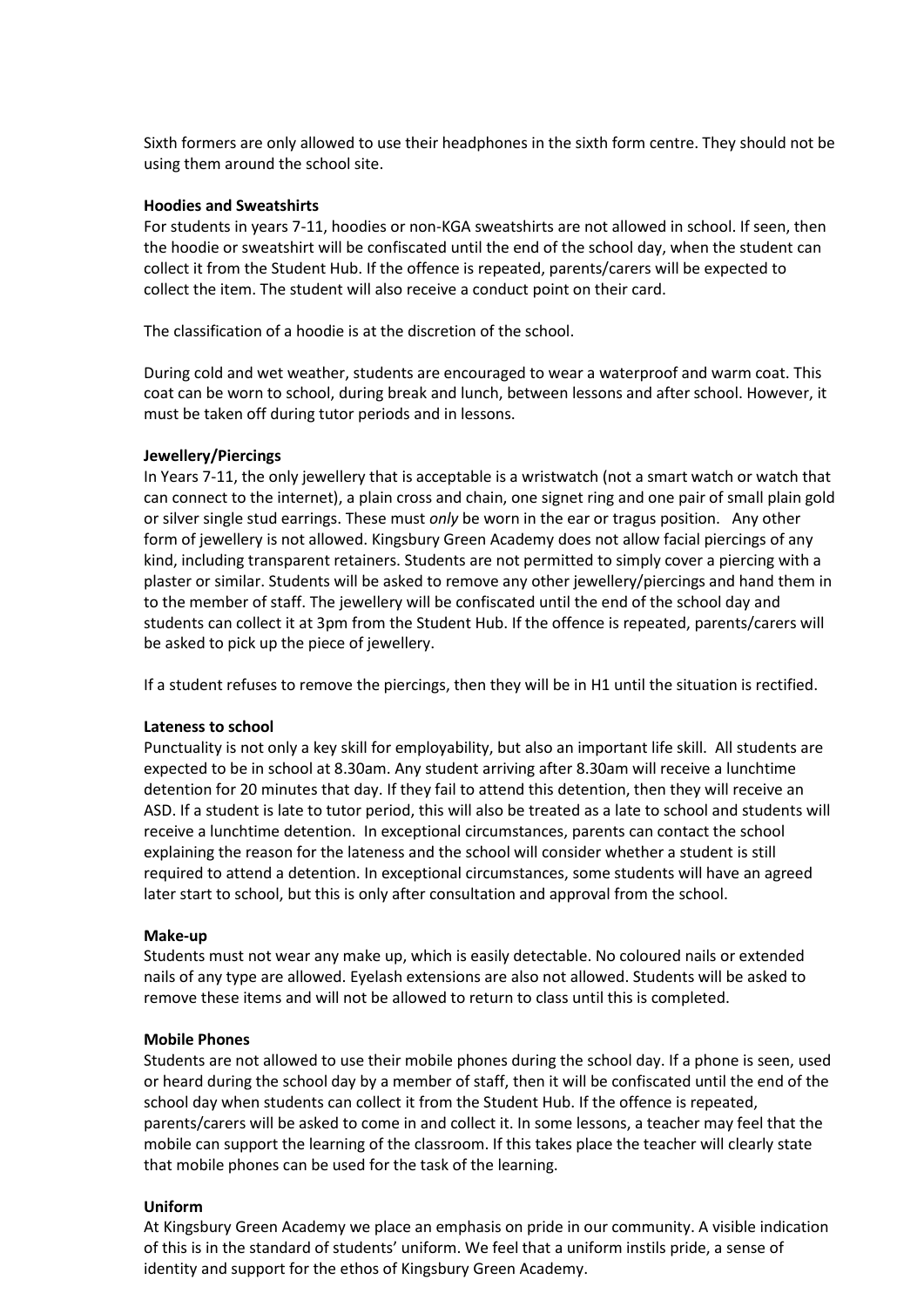Sixth formers are only allowed to use their headphones in the sixth form centre. They should not be using them around the school site.

#### **Hoodies and Sweatshirts**

For students in years 7-11, hoodies or non-KGA sweatshirts are not allowed in school. If seen, then the hoodie or sweatshirt will be confiscated until the end of the school day, when the student can collect it from the Student Hub. If the offence is repeated, parents/carers will be expected to collect the item. The student will also receive a conduct point on their card.

The classification of a hoodie is at the discretion of the school.

During cold and wet weather, students are encouraged to wear a waterproof and warm coat. This coat can be worn to school, during break and lunch, between lessons and after school. However, it must be taken off during tutor periods and in lessons.

#### **Jewellery/Piercings**

In Years 7-11, the only jewellery that is acceptable is a wristwatch (not a smart watch or watch that can connect to the internet), a plain cross and chain, one signet ring and one pair of small plain gold or silver single stud earrings. These must *only* be worn in the ear or tragus position. Any other form of jewellery is not allowed. Kingsbury Green Academy does not allow facial piercings of any kind, including transparent retainers. Students are not permitted to simply cover a piercing with a plaster or similar. Students will be asked to remove any other jewellery/piercings and hand them in to the member of staff. The jewellery will be confiscated until the end of the school day and students can collect it at 3pm from the Student Hub. If the offence is repeated, parents/carers will be asked to pick up the piece of jewellery.

If a student refuses to remove the piercings, then they will be in H1 until the situation is rectified.

#### **Lateness to school**

Punctuality is not only a key skill for employability, but also an important life skill. All students are expected to be in school at 8.30am. Any student arriving after 8.30am will receive a lunchtime detention for 20 minutes that day. If they fail to attend this detention, then they will receive an ASD. If a student is late to tutor period, this will also be treated as a late to school and students will receive a lunchtime detention. In exceptional circumstances, parents can contact the school explaining the reason for the lateness and the school will consider whether a student is still required to attend a detention. In exceptional circumstances, some students will have an agreed later start to school, but this is only after consultation and approval from the school.

#### **Make-up**

Students must not wear any make up, which is easily detectable. No coloured nails or extended nails of any type are allowed. Eyelash extensions are also not allowed. Students will be asked to remove these items and will not be allowed to return to class until this is completed.

#### **Mobile Phones**

Students are not allowed to use their mobile phones during the school day. If a phone is seen, used or heard during the school day by a member of staff, then it will be confiscated until the end of the school day when students can collect it from the Student Hub. If the offence is repeated, parents/carers will be asked to come in and collect it. In some lessons, a teacher may feel that the mobile can support the learning of the classroom. If this takes place the teacher will clearly state that mobile phones can be used for the task of the learning.

#### **Uniform**

At Kingsbury Green Academy we place an emphasis on pride in our community. A visible indication of this is in the standard of students' uniform. We feel that a uniform instils pride, a sense of identity and support for the ethos of Kingsbury Green Academy.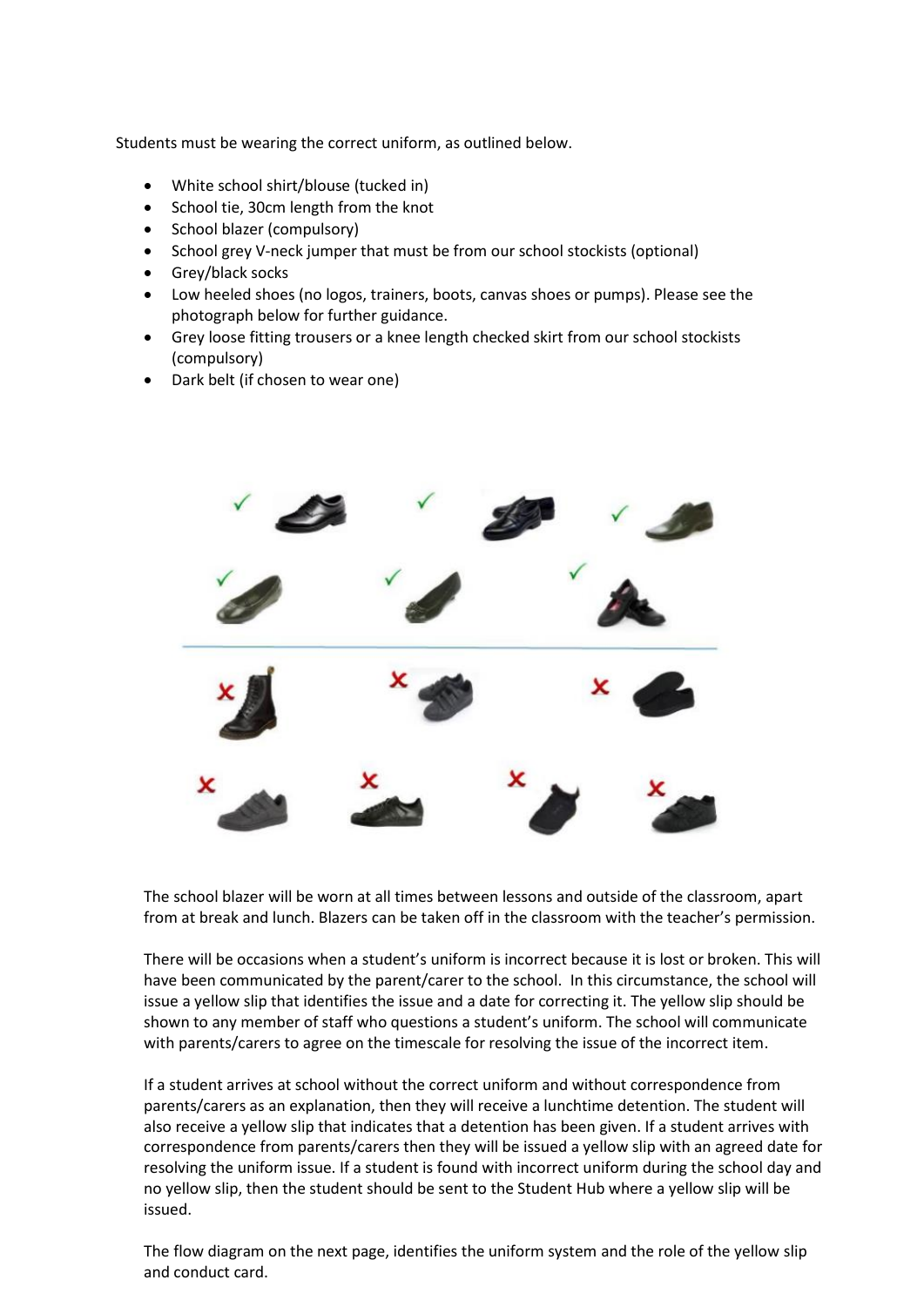Students must be wearing the correct uniform, as outlined below.

- White school shirt/blouse (tucked in)
- School tie, 30cm length from the knot
- School blazer (compulsory)
- School grey V-neck jumper that must be from our school stockists (optional)
- Grey/black socks
- Low heeled shoes (no logos, trainers, boots, canvas shoes or pumps). Please see the photograph below for further guidance.
- Grey loose fitting trousers or a knee length checked skirt from our school stockists (compulsory)
- Dark belt (if chosen to wear one)



The school blazer will be worn at all times between lessons and outside of the classroom, apart from at break and lunch. Blazers can be taken off in the classroom with the teacher's permission.

There will be occasions when a student's uniform is incorrect because it is lost or broken. This will have been communicated by the parent/carer to the school. In this circumstance, the school will issue a yellow slip that identifies the issue and a date for correcting it. The yellow slip should be shown to any member of staff who questions a student's uniform. The school will communicate with parents/carers to agree on the timescale for resolving the issue of the incorrect item.

If a student arrives at school without the correct uniform and without correspondence from parents/carers as an explanation, then they will receive a lunchtime detention. The student will also receive a yellow slip that indicates that a detention has been given. If a student arrives with correspondence from parents/carers then they will be issued a yellow slip with an agreed date for resolving the uniform issue. If a student is found with incorrect uniform during the school day and no yellow slip, then the student should be sent to the Student Hub where a yellow slip will be issued.

The flow diagram on the next page, identifies the uniform system and the role of the yellow slip and conduct card.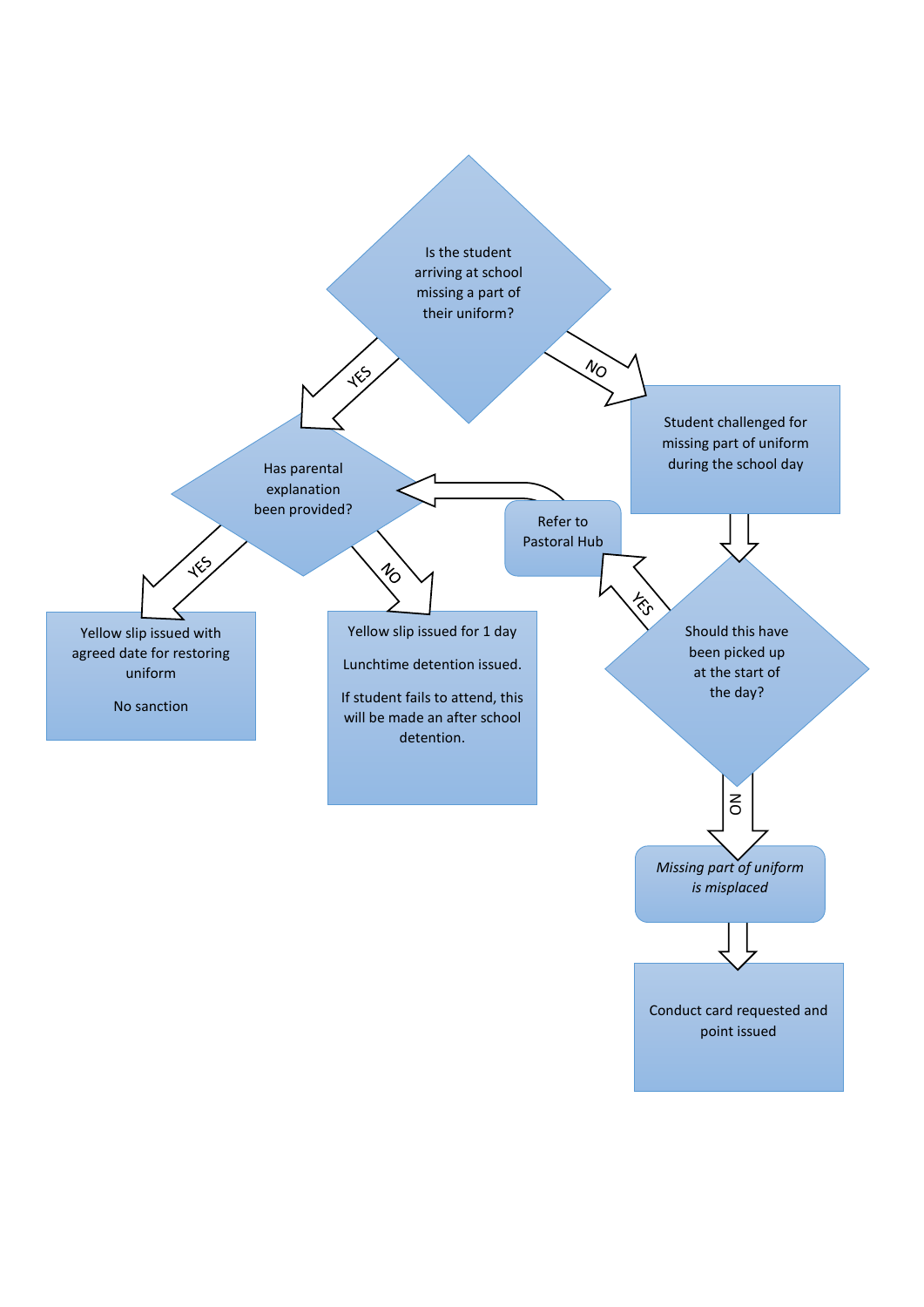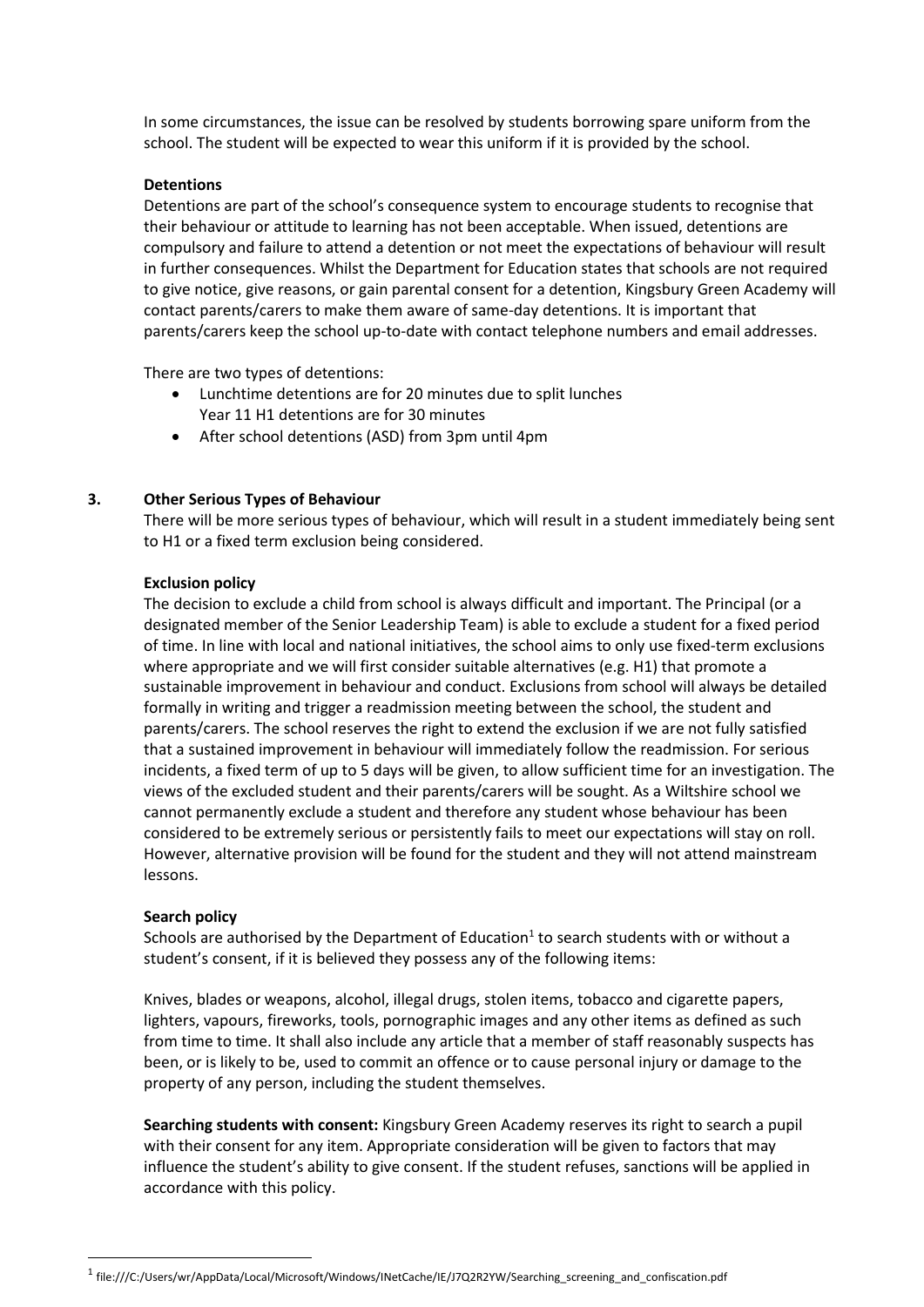In some circumstances, the issue can be resolved by students borrowing spare uniform from the school. The student will be expected to wear this uniform if it is provided by the school.

#### **Detentions**

Detentions are part of the school's consequence system to encourage students to recognise that their behaviour or attitude to learning has not been acceptable. When issued, detentions are compulsory and failure to attend a detention or not meet the expectations of behaviour will result in further consequences. Whilst the Department for Education states that schools are not required to give notice, give reasons, or gain parental consent for a detention, Kingsbury Green Academy will contact parents/carers to make them aware of same-day detentions. It is important that parents/carers keep the school up-to-date with contact telephone numbers and email addresses.

There are two types of detentions:

- Lunchtime detentions are for 20 minutes due to split lunches Year 11 H1 detentions are for 30 minutes
- After school detentions (ASD) from 3pm until 4pm

#### **3. Other Serious Types of Behaviour**

There will be more serious types of behaviour, which will result in a student immediately being sent to H1 or a fixed term exclusion being considered.

#### **Exclusion policy**

The decision to exclude a child from school is always difficult and important. The Principal (or a designated member of the Senior Leadership Team) is able to exclude a student for a fixed period of time. In line with local and national initiatives, the school aims to only use fixed-term exclusions where appropriate and we will first consider suitable alternatives (e.g. H1) that promote a sustainable improvement in behaviour and conduct. Exclusions from school will always be detailed formally in writing and trigger a readmission meeting between the school, the student and parents/carers. The school reserves the right to extend the exclusion if we are not fully satisfied that a sustained improvement in behaviour will immediately follow the readmission. For serious incidents, a fixed term of up to 5 days will be given, to allow sufficient time for an investigation. The views of the excluded student and their parents/carers will be sought. As a Wiltshire school we cannot permanently exclude a student and therefore any student whose behaviour has been considered to be extremely serious or persistently fails to meet our expectations will stay on roll. However, alternative provision will be found for the student and they will not attend mainstream lessons.

#### **Search policy**

<u>.</u>

Schools are authorised by the Department of Education $<sup>1</sup>$  to search students with or without a</sup> student's consent, if it is believed they possess any of the following items:

Knives, blades or weapons, alcohol, illegal drugs, stolen items, tobacco and cigarette papers, lighters, vapours, fireworks, tools, pornographic images and any other items as defined as such from time to time. It shall also include any article that a member of staff reasonably suspects has been, or is likely to be, used to commit an offence or to cause personal injury or damage to the property of any person, including the student themselves.

**Searching students with consent:** Kingsbury Green Academy reserves its right to search a pupil with their consent for any item. Appropriate consideration will be given to factors that may influence the student's ability to give consent. If the student refuses, sanctions will be applied in accordance with this policy.

<sup>1</sup> file:///C:/Users/wr/AppData/Local/Microsoft/Windows/INetCache/IE/J7Q2R2YW/Searching\_screening\_and\_confiscation.pdf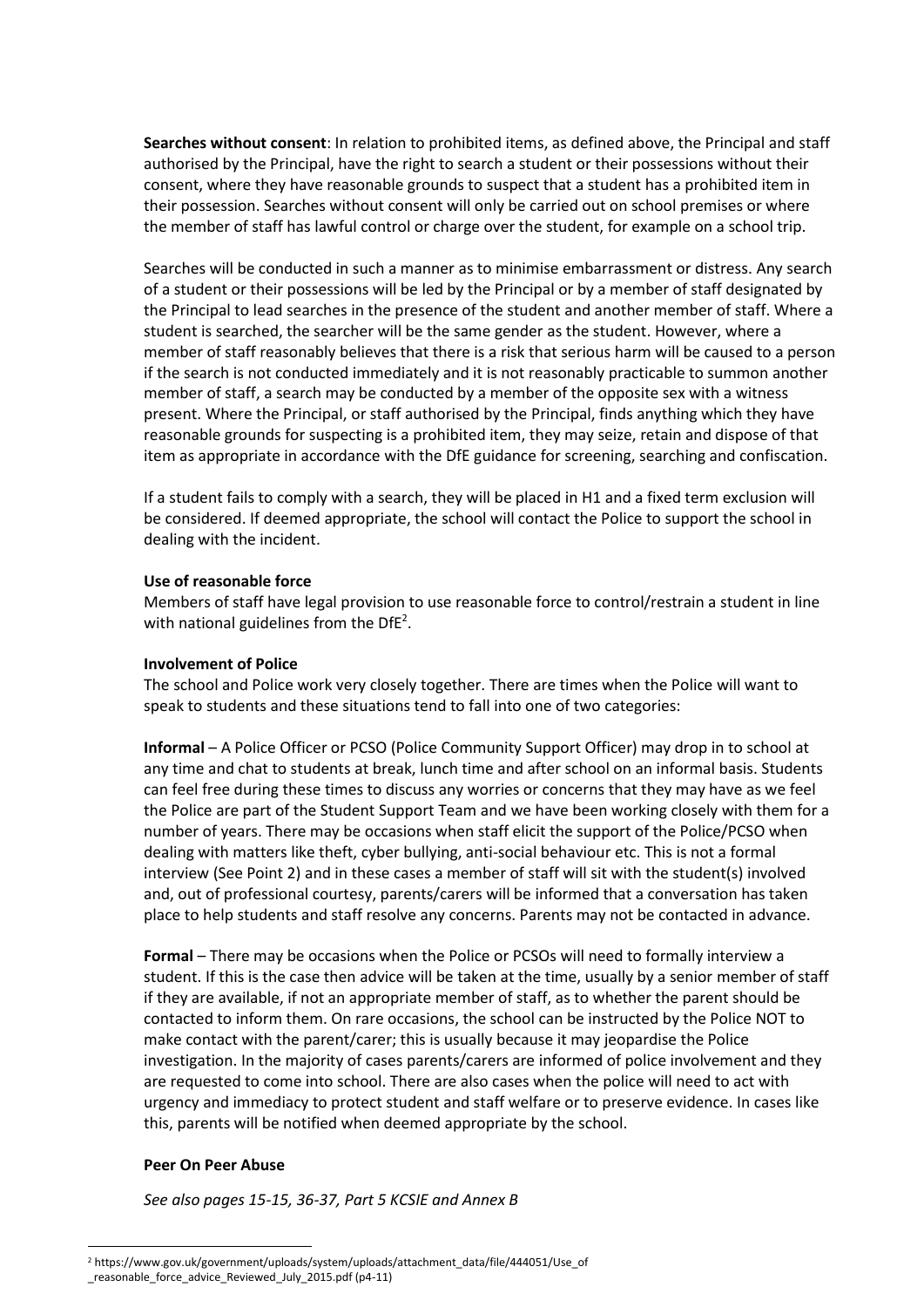**Searches without consent**: In relation to prohibited items, as defined above, the Principal and staff authorised by the Principal, have the right to search a student or their possessions without their consent, where they have reasonable grounds to suspect that a student has a prohibited item in their possession. Searches without consent will only be carried out on school premises or where the member of staff has lawful control or charge over the student, for example on a school trip.

Searches will be conducted in such a manner as to minimise embarrassment or distress. Any search of a student or their possessions will be led by the Principal or by a member of staff designated by the Principal to lead searches in the presence of the student and another member of staff. Where a student is searched, the searcher will be the same gender as the student. However, where a member of staff reasonably believes that there is a risk that serious harm will be caused to a person if the search is not conducted immediately and it is not reasonably practicable to summon another member of staff, a search may be conducted by a member of the opposite sex with a witness present. Where the Principal, or staff authorised by the Principal, finds anything which they have reasonable grounds for suspecting is a prohibited item, they may seize, retain and dispose of that item as appropriate in accordance with the DfE guidance for screening, searching and confiscation.

If a student fails to comply with a search, they will be placed in H1 and a fixed term exclusion will be considered. If deemed appropriate, the school will contact the Police to support the school in dealing with the incident.

#### **Use of reasonable force**

Members of staff have legal provision to use reasonable force to control/restrain a student in line with national guidelines from the Df $E^2$ .

#### **Involvement of Police**

The school and Police work very closely together. There are times when the Police will want to speak to students and these situations tend to fall into one of two categories:

**Informal** – A Police Officer or PCSO (Police Community Support Officer) may drop in to school at any time and chat to students at break, lunch time and after school on an informal basis. Students can feel free during these times to discuss any worries or concerns that they may have as we feel the Police are part of the Student Support Team and we have been working closely with them for a number of years. There may be occasions when staff elicit the support of the Police/PCSO when dealing with matters like theft, cyber bullying, anti-social behaviour etc. This is not a formal interview (See Point 2) and in these cases a member of staff will sit with the student(s) involved and, out of professional courtesy, parents/carers will be informed that a conversation has taken place to help students and staff resolve any concerns. Parents may not be contacted in advance.

**Formal** – There may be occasions when the Police or PCSOs will need to formally interview a student. If this is the case then advice will be taken at the time, usually by a senior member of staff if they are available, if not an appropriate member of staff, as to whether the parent should be contacted to inform them. On rare occasions, the school can be instructed by the Police NOT to make contact with the parent/carer; this is usually because it may jeopardise the Police investigation. In the majority of cases parents/carers are informed of police involvement and they are requested to come into school. There are also cases when the police will need to act with urgency and immediacy to protect student and staff welfare or to preserve evidence. In cases like this, parents will be notified when deemed appropriate by the school.

#### **Peer On Peer Abuse**

-

*See also pages 15-15, 36-37, Part 5 KCSIE and Annex B* 

<sup>2</sup> https://www.gov.uk/government/uploads/system/uploads/attachment\_data/file/444051/Use\_of \_reasonable\_force\_advice\_Reviewed\_July\_2015.pdf (p4-11)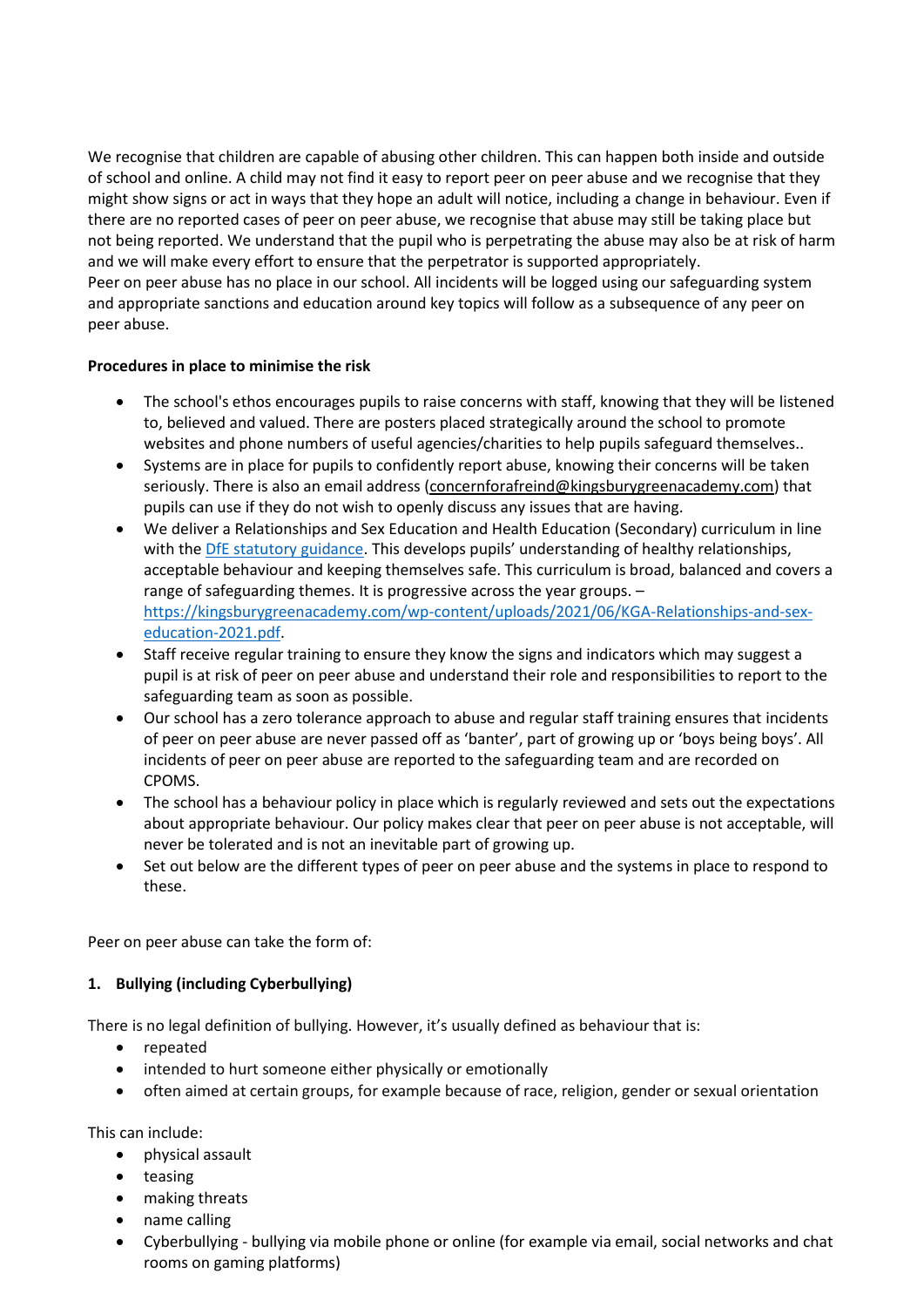We recognise that children are capable of abusing other children. This can happen both inside and outside of school and online. A child may not find it easy to report peer on peer abuse and we recognise that they might show signs or act in ways that they hope an adult will notice, including a change in behaviour. Even if there are no reported cases of peer on peer abuse, we recognise that abuse may still be taking place but not being reported. We understand that the pupil who is perpetrating the abuse may also be at risk of harm and we will make every effort to ensure that the perpetrator is supported appropriately. Peer on peer abuse has no place in our school. All incidents will be logged using our safeguarding system and appropriate sanctions and education around key topics will follow as a subsequence of any peer on peer abuse.

# **Procedures in place to minimise the risk**

- The school's ethos encourages pupils to raise concerns with staff, knowing that they will be listened to, believed and valued. There are posters placed strategically around the school to promote websites and phone numbers of useful agencies/charities to help pupils safeguard themselves..
- Systems are in place for pupils to confidently report abuse, knowing their concerns will be taken seriously. There is also an email address [\(concernforafreind@kingsburygreenacademy.com\)](mailto:concernforafreind@kingsburygreenacademy.com) that pupils can use if they do not wish to openly discuss any issues that are having.
- We deliver a Relationships and Sex Education and Health Education (Secondary) curriculum in line with th[e DfE statutory guidance](https://www.gov.uk/government/publications/relationships-education-relationships-and-sex-education-rse-and-health-education). This develops pupils' understanding of healthy relationships, acceptable behaviour and keeping themselves safe. This curriculum is broad, balanced and covers a range of safeguarding themes. It is progressive across the year groups. – [https://kingsburygreenacademy.com/wp-content/uploads/2021/06/KGA-Relationships-and-sex](https://kingsburygreenacademy.com/wp-content/uploads/2021/06/KGA-Relationships-and-sex-education-2021.pdf)[education-2021.pdf.](https://kingsburygreenacademy.com/wp-content/uploads/2021/06/KGA-Relationships-and-sex-education-2021.pdf)
- Staff receive regular training to ensure they know the signs and indicators which may suggest a pupil is at risk of peer on peer abuse and understand their role and responsibilities to report to the safeguarding team as soon as possible.
- Our school has a zero tolerance approach to abuse and regular staff training ensures that incidents of peer on peer abuse are never passed off as 'banter', part of growing up or 'boys being boys'. All incidents of peer on peer abuse are reported to the safeguarding team and are recorded on CPOMS.
- The school has a behaviour policy in place which is regularly reviewed and sets out the expectations about appropriate behaviour. Our policy makes clear that peer on peer abuse is not acceptable, will never be tolerated and is not an inevitable part of growing up.
- Set out below are the different types of peer on peer abuse and the systems in place to respond to these.

Peer on peer abuse can take the form of:

# **1. Bullying (including Cyberbullying)**

There is no legal definition of bullying. However, it's usually defined as behaviour that is:

- repeated
- intended to hurt someone either physically or emotionally
- often aimed at certain groups, for example because of race, religion, gender or sexual orientation

This can include:

- physical assault
- teasing
- making threats
- name calling
- Cyberbullying bullying via mobile phone or online (for example via email, social networks and chat rooms on gaming platforms)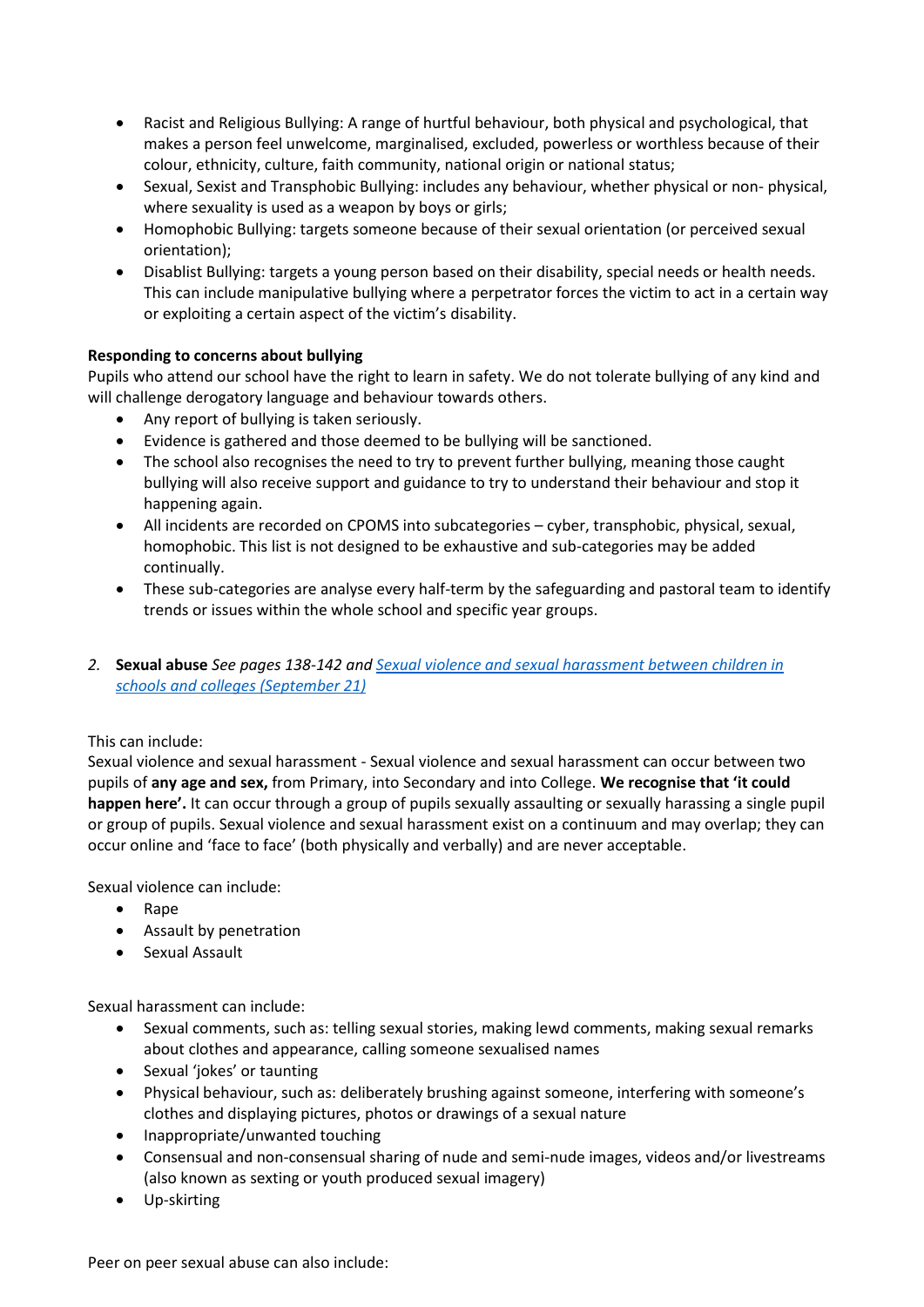- Racist and Religious Bullying: A range of hurtful behaviour, both physical and psychological, that makes a person feel unwelcome, marginalised, excluded, powerless or worthless because of their colour, ethnicity, culture, faith community, national origin or national status;
- Sexual, Sexist and Transphobic Bullying: includes any behaviour, whether physical or non- physical, where sexuality is used as a weapon by boys or girls;
- Homophobic Bullying: targets someone because of their sexual orientation (or perceived sexual orientation);
- Disablist Bullying: targets a young person based on their disability, special needs or health needs. This can include manipulative bullying where a perpetrator forces the victim to act in a certain way or exploiting a certain aspect of the victim's disability.

# **Responding to concerns about bullying**

Pupils who attend our school have the right to learn in safety. We do not tolerate bullying of any kind and will challenge derogatory language and behaviour towards others.

- Any report of bullying is taken seriously.
- Evidence is gathered and those deemed to be bullying will be sanctioned.
- The school also recognises the need to try to prevent further bullying, meaning those caught bullying will also receive support and guidance to try to understand their behaviour and stop it happening again.
- All incidents are recorded on CPOMS into subcategories cyber, transphobic, physical, sexual, homophobic. This list is not designed to be exhaustive and sub-categories may be added continually.
- These sub-categories are analyse every half-term by the safeguarding and pastoral team to identify trends or issues within the whole school and specific year groups.
- *2.* **Sexual abuse** *See pages 138-142 an[d Sexual violence and sexual harassment between children in](https://assets.publishing.service.gov.uk/government/uploads/system/uploads/attachment_data/file/999239/SVSH_2021.pdf)  [schools and colleges \(September 21\)](https://assets.publishing.service.gov.uk/government/uploads/system/uploads/attachment_data/file/999239/SVSH_2021.pdf)*

#### This can include:

Sexual violence and sexual harassment - Sexual violence and sexual harassment can occur between two pupils of **any age and sex,** from Primary, into Secondary and into College. **We recognise that 'it could happen here'.** It can occur through a group of pupils sexually assaulting or sexually harassing a single pupil or group of pupils. Sexual violence and sexual harassment exist on a continuum and may overlap; they can occur online and 'face to face' (both physically and verbally) and are never acceptable.

Sexual violence can include:

- Rape
- Assault by penetration
- Sexual Assault

Sexual harassment can include:

- Sexual comments, such as: telling sexual stories, making lewd comments, making sexual remarks about clothes and appearance, calling someone sexualised names
- Sexual 'jokes' or taunting
- Physical behaviour, such as: deliberately brushing against someone, interfering with someone's clothes and displaying pictures, photos or drawings of a sexual nature
- Inappropriate/unwanted touching
- Consensual and non-consensual sharing of nude and semi-nude images, videos and/or livestreams (also known as sexting or youth produced sexual imagery)
- Up-skirting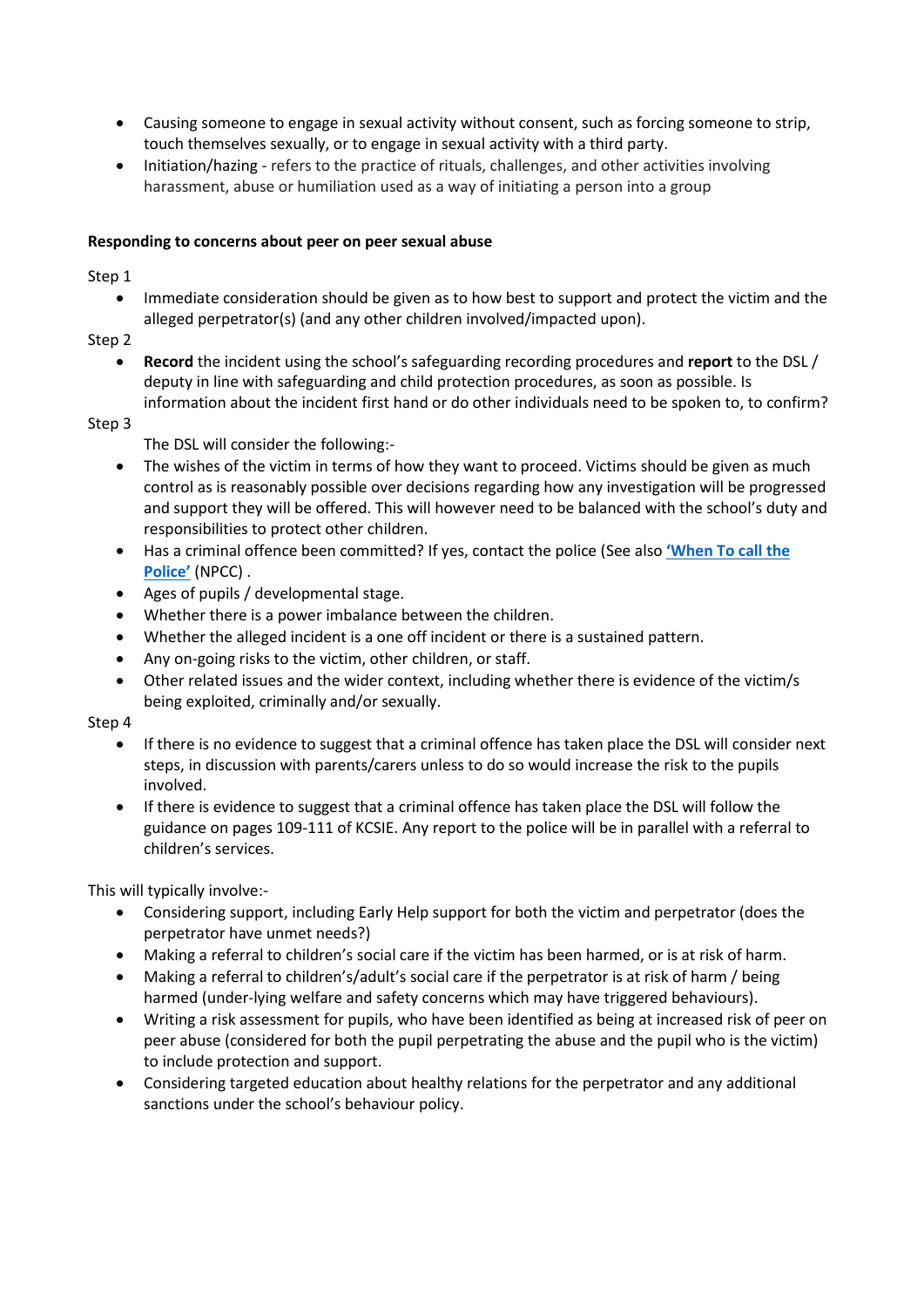- Causing someone to engage in sexual activity without consent, such as forcing someone to strip, touch themselves sexually, or to engage in sexual activity with a third party.
- Initiation/hazing refers to the practice of rituals, challenges, and other activities involving harassment, abuse or humiliation used as a way of initiating a person into a group

# **Responding to concerns about peer on peer sexual abuse**

Step 1

- Immediate consideration should be given as to how best to support and protect the victim and the alleged perpetrator(s) (and any other children involved/impacted upon).
- Step 2
	- **Record** the incident using the school's safeguarding recording procedures and **report** to the DSL / deputy in line with safeguarding and child protection procedures, as soon as possible. Is information about the incident first hand or do other individuals need to be spoken to, to confirm?

#### Step 3

The DSL will consider the following:-

- The wishes of the victim in terms of how they want to proceed. Victims should be given as much control as is reasonably possible over decisions regarding how any investigation will be progressed and support they will be offered. This will however need to be balanced with the school's duty and responsibilities to protect other children.
- Has a criminal offence been committed? If yes, contact the police (See also **['When To call the](https://www.npcc.police.uk/documents/Children%20and%20Young%20people/When%20to%20call%20the%20police%20guidance%20for%20schools%20and%20colleges.pdf)  [Police'](https://www.npcc.police.uk/documents/Children%20and%20Young%20people/When%20to%20call%20the%20police%20guidance%20for%20schools%20and%20colleges.pdf)** (NPCC) .
- Ages of pupils / developmental stage.
- Whether there is a power imbalance between the children.
- Whether the alleged incident is a one off incident or there is a sustained pattern.
- Any on-going risks to the victim, other children, or staff.
- Other related issues and the wider context, including whether there is evidence of the victim/s being exploited, criminally and/or sexually.

#### Step 4

- If there is no evidence to suggest that a criminal offence has taken place the DSL will consider next steps, in discussion with parents/carers unless to do so would increase the risk to the pupils involved.
- If there is evidence to suggest that a criminal offence has taken place the DSL will follow the guidance on pages 109-111 of KCSIE. Any report to the police will be in parallel with a referral to children's services.

This will typically involve:-

- Considering support, including Early Help support for both the victim and perpetrator (does the perpetrator have unmet needs?)
- Making a referral to children's social care if the victim has been harmed, or is at risk of harm.
- Making a referral to children's/adult's social care if the perpetrator is at risk of harm / being harmed (under-lying welfare and safety concerns which may have triggered behaviours).
- Writing a risk assessment for pupils, who have been identified as being at increased risk of peer on peer abuse (considered for both the pupil perpetrating the abuse and the pupil who is the victim) to include protection and support.
- Considering targeted education about healthy relations for the perpetrator and any additional sanctions under the school's behaviour policy.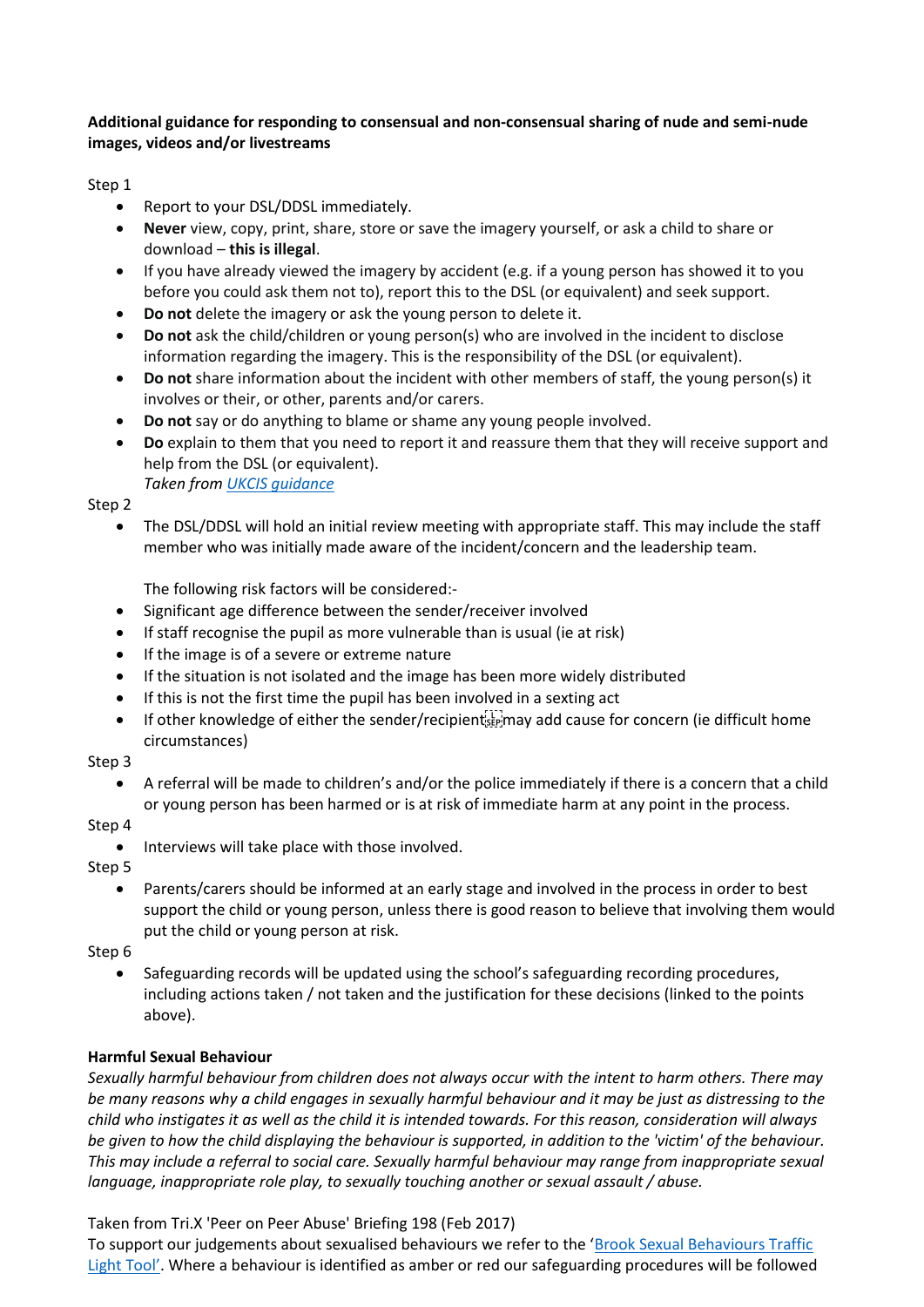# **Additional guidance for responding to consensual and non-consensual sharing of nude and semi-nude images, videos and/or livestreams**

# Step 1

- Report to your DSL/DDSL immediately.
- **Never** view, copy, print, share, store or save the imagery yourself, or ask a child to share or download – **this is illegal**.
- If you have already viewed the imagery by accident (e.g. if a young person has showed it to you before you could ask them not to), report this to the DSL (or equivalent) and seek support.
- **Do not** delete the imagery or ask the young person to delete it.
- **Do not** ask the child/children or young person(s) who are involved in the incident to disclose information regarding the imagery. This is the responsibility of the DSL (or equivalent).
- **Do not** share information about the incident with other members of staff, the young person(s) it involves or their, or other, parents and/or carers.
- **Do not** say or do anything to blame or shame any young people involved.
- **Do** explain to them that you need to report it and reassure them that they will receive support and help from the DSL (or equivalent).  *Taken from [UKCIS guidance](https://www.gov.uk/government/publications/sharing-nudes-and-semi-nudes-advice-for-education-settings-working-with-children-and-young-people)*

Step 2

• The DSL/DDSL will hold an initial review meeting with appropriate staff. This may include the staff member who was initially made aware of the incident/concern and the leadership team.

The following risk factors will be considered:-

- Significant age difference between the sender/receiver involved
- If staff recognise the pupil as more vulnerable than is usual (ie at risk)
- If the image is of a severe or extreme nature
- If the situation is not isolated and the image has been more widely distributed
- If this is not the first time the pupil has been involved in a sexting act
- If other knowledge of either the sender/recipient  $\frac{1}{2}$  may add cause for concern (ie difficult home circumstances)

#### Step 3

• A referral will be made to children's and/or the police immediately if there is a concern that a child or young person has been harmed or is at risk of immediate harm at any point in the process.

# Step 4

• Interviews will take place with those involved.

Step 5

• Parents/carers should be informed at an early stage and involved in the process in order to best support the child or young person, unless there is good reason to believe that involving them would put the child or young person at risk.

Step 6

• Safeguarding records will be updated using the school's safeguarding recording procedures, including actions taken / not taken and the justification for these decisions (linked to the points above).

# **Harmful Sexual Behaviour**

*Sexually harmful behaviour from children does not always occur with the intent to harm others. There may be many reasons why a child engages in sexually harmful behaviour and it may be just as distressing to the child who instigates it as well as the child it is intended towards. For this reason, consideration will always be given to how the child displaying the behaviour is supported, in addition to the 'victim' of the behaviour. This may include a referral to social care. Sexually harmful behaviour may range from inappropriate sexual language, inappropriate role play, to sexually touching another or sexual assault / abuse.* 

# Taken from Tri.X 'Peer on Peer Abuse' Briefing 198 (Feb 2017)

To support our judgements about sexualised behaviours we refer to the 'Brook Sexual Behaviours Traffic [Light Tool'](https://www.brook.org.uk/training/wider-professional-training/sexual-behaviours-traffic-light-tool/). Where a behaviour is identified as amber or red our safeguarding procedures will be followed